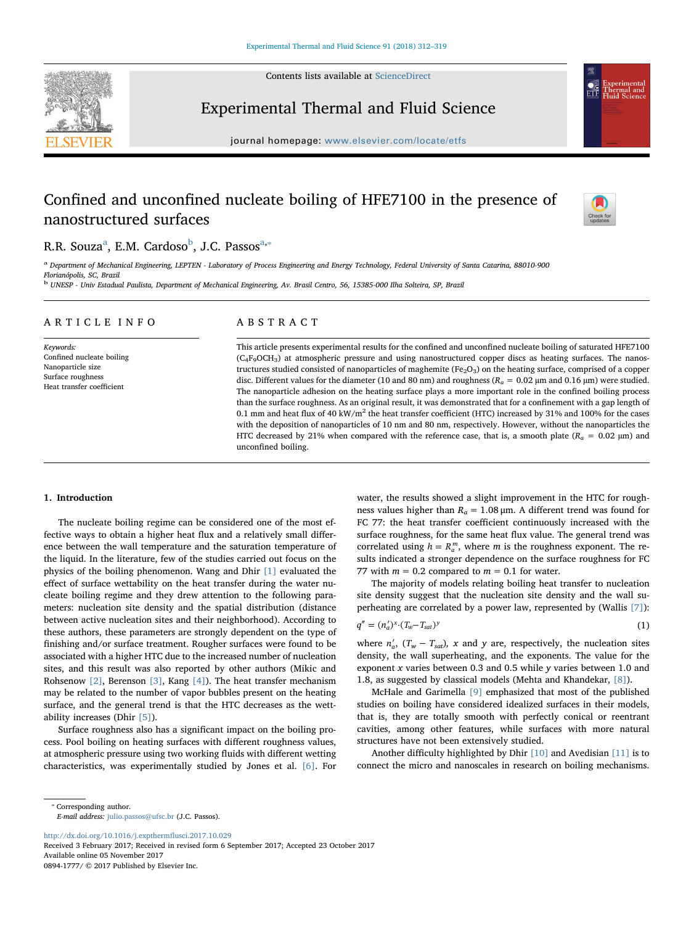Contents lists available at [ScienceDirect](http://www.sciencedirect.com/science/journal/08941777)



## Experimental Thermal and Fluid Science

 $j<sub>i</sub>$  is a homepage: where etherein is a common located ether.

# Confined and unconfined nucleate boiling of HFE7100 in the presence of nanostructured surfaces



## R.R. Souz[a](#page-0-0)<sup>a</sup>, E.M. Cardoso<sup>[b](#page-0-1)</sup>, J.C. Passos<sup>a,</sup>\*

<span id="page-0-0"></span>a Department of Mechanical Engineering, LEPTEN - Laboratory of Process Engineering and Energy Technology, Federal University of Santa Catarina, 88010-900 Florianópolis, SC, Brazil

<span id="page-0-1"></span><sup>b</sup> UNESP - Univ Estadual Paulista, Department of Mechanical Engineering, Av. Brasil Centro, 56, 15385-000 Ilha Solteira, SP, Brazil

### ARTICLE INFO

Keywords: Confined nucleate boiling Nanoparticle size Surface roughness Heat transfer coefficient

## ABSTRACT

This article presents experimental results for the confined and unconfined nucleate boiling of saturated HFE7100  $(C_4F_9OCH_3)$  at atmospheric pressure and using nanostructured copper discs as heating surfaces. The nanostructures studied consisted of nanoparticles of maghemite (Fe<sub>2</sub>O<sub>3</sub>) on the heating surface, comprised of a copper disc. Different values for the diameter (10 and 80 nm) and roughness ( $R_a = 0.02 \mu m$  and 0.16  $\mu m$ ) were studied. The nanoparticle adhesion on the heating surface plays a more important role in the confined boiling process than the surface roughness. As an original result, it was demonstrated that for a confinement with a gap length of 0.1 mm and heat flux of 40 kW/m<sup>2</sup> the heat transfer coefficient (HTC) increased by 31% and 100% for the cases with the deposition of nanoparticles of 10 nm and 80 nm, respectively. However, without the nanoparticles the HTC decreased by 21% when compared with the reference case, that is, a smooth plate ( $R_a = 0.02 \mu m$ ) and unconfined boiling.

## 1. Introduction

The nucleate boiling regime can be considered one of the most effective ways to obtain a higher heat flux and a relatively small difference between the wall temperature and the saturation temperature of the liquid. In the literature, few of the studies carried out focus on the physics of the boiling phenomenon. Wang and Dhir [\[1\]](#page-6-0) evaluated the effect of surface wettability on the heat transfer during the water nucleate boiling regime and they drew attention to the following parameters: nucleation site density and the spatial distribution (distance between active nucleation sites and their neighborhood). According to these authors, these parameters are strongly dependent on the type of finishing and/or surface treatment. Rougher surfaces were found to be associated with a higher HTC due to the increased number of nucleation sites, and this result was also reported by other authors (Mikic and Rohsenow [\[2\],](#page-6-1) Berenson [\[3\]](#page-6-2), Kang [\[4\]](#page-6-3)). The heat transfer mechanism may be related to the number of vapor bubbles present on the heating surface, and the general trend is that the HTC decreases as the wettability increases (Dhir [\[5\]](#page-6-4)).

Surface roughness also has a significant impact on the boiling process. Pool boiling on heating surfaces with different roughness values, at atmospheric pressure using two working fluids with different wetting characteristics, was experimentally studied by Jones et al. [\[6\].](#page-6-5) For

water, the results showed a slight improvement in the HTC for roughness values higher than  $R<sub>a</sub> = 1.08$  μm. A different trend was found for FC 77: the heat transfer coefficient continuously increased with the surface roughness, for the same heat flux value. The general trend was correlated using  $h = R_a^m$ , where m is the roughness exponent. The results indicated a stronger dependence on the surface roughness for FC 77 with  $m = 0.2$  compared to  $m = 0.1$  for water.

The majority of models relating boiling heat transfer to nucleation site density suggest that the nucleation site density and the wall superheating are correlated by a power law, represented by (Wallis [\[7\]](#page-6-6)):

$$
q'' = (n'_a)^x \cdot (T_w - T_{sat})^y \tag{1}
$$

where  $n'_a$ ,  $(T_w - T_{sat})$ , x and y are, respectively, the nucleation sites density, the wall superheating, and the exponents. The value for the exponent x varies between 0.3 and 0.5 while y varies between 1.0 and 1.8, as suggested by classical models (Mehta and Khandekar, [\[8\]\)](#page-6-7).

McHale and Garimella [\[9\]](#page-6-8) emphasized that most of the published studies on boiling have considered idealized surfaces in their models, that is, they are totally smooth with perfectly conical or reentrant cavities, among other features, while surfaces with more natural structures have not been extensively studied.

Another difficulty highlighted by Dhir [\[10\]](#page-6-9) and Avedisian [\[11\]](#page-6-10) is to connect the micro and nanoscales in research on boiling mechanisms.

<span id="page-0-2"></span>⁎ Corresponding author.

E-mail address: [julio.passos@ufsc.br](mailto:julio.passos@ufsc.br) (J.C. Passos).

[http://dx.doi.org/10.1016/j.exptherm](http://dx.doi.org/10.1016/j.expthermflusci.2017.10.029)flusci.2017.10.029

Received 3 February 2017; Received in revised form 6 September 2017; Accepted 23 October 2017 Available online 05 November 2017

0894-1777/ © 2017 Published by Elsevier Inc.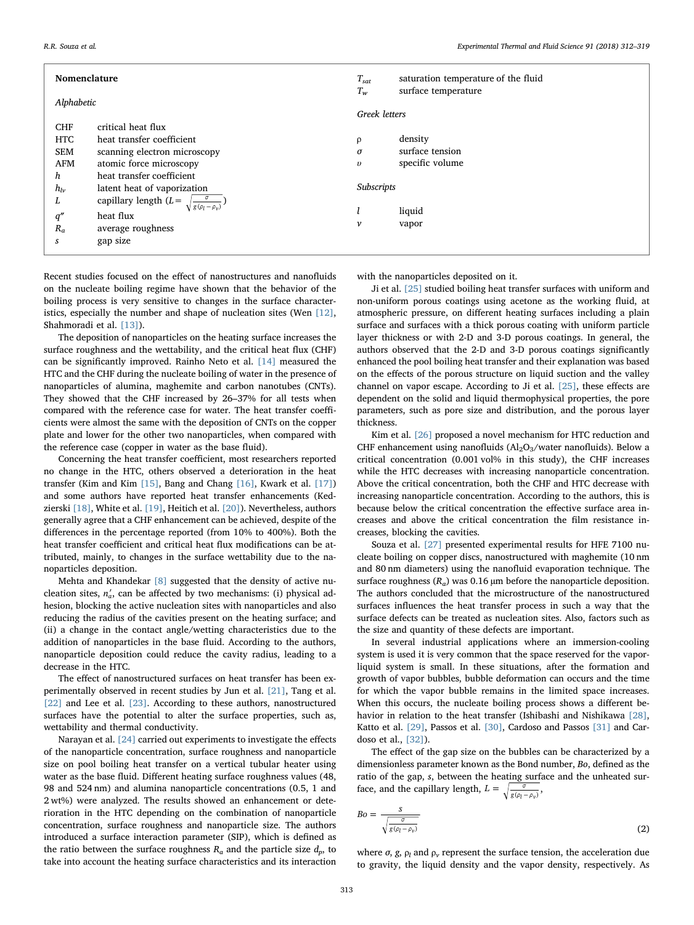| Nomenclature |                                                                   | $T_{sat}$<br>$T_w$ | saturation temperature of the fluid<br>surface temperature |
|--------------|-------------------------------------------------------------------|--------------------|------------------------------------------------------------|
| Alphabetic   |                                                                   | Greek letters      |                                                            |
| <b>CHF</b>   | critical heat flux                                                |                    |                                                            |
| <b>HTC</b>   | heat transfer coefficient                                         | ρ                  | density                                                    |
| <b>SEM</b>   | scanning electron microscopy                                      | $\sigma$           | surface tension                                            |
| AFM          | atomic force microscopy                                           | $\boldsymbol{v}$   | specific volume                                            |
| h            | heat transfer coefficient                                         |                    |                                                            |
| $h_{lv}$     | latent heat of vaporization                                       | Subscripts         |                                                            |
| L            | capillary length $(L = \sqrt{\frac{\sigma}{g(\rho_l - \rho_v)}})$ |                    |                                                            |
| q''          | heat flux                                                         |                    | liquid                                                     |
| $R_a$        | average roughness                                                 | $\mathcal V$       | vapor                                                      |
| S            | gap size                                                          |                    |                                                            |

Recent studies focused on the effect of nanostructures and nanofluids on the nucleate boiling regime have shown that the behavior of the boiling process is very sensitive to changes in the surface characteristics, especially the number and shape of nucleation sites (Wen [\[12\]](#page-6-11), Shahmoradi et al. [\[13\]](#page-6-12)).

The deposition of nanoparticles on the heating surface increases the surface roughness and the wettability, and the critical heat flux (CHF) can be significantly improved. Rainho Neto et al. [\[14\]](#page-6-13) measured the HTC and the CHF during the nucleate boiling of water in the presence of nanoparticles of alumina, maghemite and carbon nanotubes (CNTs). They showed that the CHF increased by 26–37% for all tests when compared with the reference case for water. The heat transfer coefficients were almost the same with the deposition of CNTs on the copper plate and lower for the other two nanoparticles, when compared with the reference case (copper in water as the base fluid).

Concerning the heat transfer coefficient, most researchers reported no change in the HTC, others observed a deterioration in the heat transfer (Kim and Kim [\[15\]](#page-6-14), Bang and Chang [\[16\]](#page-6-15), Kwark et al. [\[17\]\)](#page-6-16) and some authors have reported heat transfer enhancements (Kedzierski [\[18\]](#page-6-17), White et al. [\[19\],](#page-6-18) Heitich et al. [\[20\]](#page-6-19)). Nevertheless, authors generally agree that a CHF enhancement can be achieved, despite of the differences in the percentage reported (from 10% to 400%). Both the heat transfer coefficient and critical heat flux modifications can be attributed, mainly, to changes in the surface wettability due to the nanoparticles deposition.

Mehta and Khandekar [\[8\]](#page-6-7) suggested that the density of active nucleation sites,  $n'_a$ , can be affected by two mechanisms: (i) physical adhesion, blocking the active nucleation sites with nanoparticles and also reducing the radius of the cavities present on the heating surface; and (ii) a change in the contact angle/wetting characteristics due to the addition of nanoparticles in the base fluid. According to the authors, nanoparticle deposition could reduce the cavity radius, leading to a decrease in the HTC.

The effect of nanostructured surfaces on heat transfer has been experimentally observed in recent studies by Jun et al. [\[21\]](#page-6-20), Tang et al. [\[22\]](#page-7-0) and Lee et al. [\[23\]](#page-7-1). According to these authors, nanostructured surfaces have the potential to alter the surface properties, such as, wettability and thermal conductivity.

Narayan et al. [\[24\]](#page-7-2) carried out experiments to investigate the effects of the nanoparticle concentration, surface roughness and nanoparticle size on pool boiling heat transfer on a vertical tubular heater using water as the base fluid. Different heating surface roughness values (48, 98 and 524 nm) and alumina nanoparticle concentrations (0.5, 1 and 2 wt%) were analyzed. The results showed an enhancement or deterioration in the HTC depending on the combination of nanoparticle concentration, surface roughness and nanoparticle size. The authors introduced a surface interaction parameter (SIP), which is defined as the ratio between the surface roughness  $R_a$  and the particle size  $d_p$ , to take into account the heating surface characteristics and its interaction

with the nanoparticles deposited on it.

Ji et al. [\[25\]](#page-7-3) studied boiling heat transfer surfaces with uniform and non-uniform porous coatings using acetone as the working fluid, at atmospheric pressure, on different heating surfaces including a plain surface and surfaces with a thick porous coating with uniform particle layer thickness or with 2-D and 3-D porous coatings. In general, the authors observed that the 2-D and 3-D porous coatings significantly enhanced the pool boiling heat transfer and their explanation was based on the effects of the porous structure on liquid suction and the valley channel on vapor escape. According to Ji et al. [\[25\],](#page-7-3) these effects are dependent on the solid and liquid thermophysical properties, the pore parameters, such as pore size and distribution, and the porous layer thickness.

Kim et al. [\[26\]](#page-7-4) proposed a novel mechanism for HTC reduction and CHF enhancement using nanofluids  $(Al<sub>2</sub>O<sub>3</sub>/water nanofluits)$ . Below a critical concentration (0.001 vol% in this study), the CHF increases while the HTC decreases with increasing nanoparticle concentration. Above the critical concentration, both the CHF and HTC decrease with increasing nanoparticle concentration. According to the authors, this is because below the critical concentration the effective surface area increases and above the critical concentration the film resistance increases, blocking the cavities.

Souza et al. [\[27\]](#page-7-5) presented experimental results for HFE 7100 nucleate boiling on copper discs, nanostructured with maghemite (10 nm and 80 nm diameters) using the nanofluid evaporation technique. The surface roughness  $(R_a)$  was 0.16 µm before the nanoparticle deposition. The authors concluded that the microstructure of the nanostructured surfaces influences the heat transfer process in such a way that the surface defects can be treated as nucleation sites. Also, factors such as the size and quantity of these defects are important.

In several industrial applications where an immersion-cooling system is used it is very common that the space reserved for the vaporliquid system is small. In these situations, after the formation and growth of vapor bubbles, bubble deformation can occurs and the time for which the vapor bubble remains in the limited space increases. When this occurs, the nucleate boiling process shows a different behavior in relation to the heat transfer (Ishibashi and Nishikawa [\[28\]](#page-7-6), Katto et al. [\[29\],](#page-7-7) Passos et al. [\[30\]](#page-7-8), Cardoso and Passos [\[31\]](#page-7-9) and Cardoso et al., [\[32\]](#page-7-10)).

The effect of the gap size on the bubbles can be characterized by a dimensionless parameter known as the Bond number, Bo, defined as the ratio of the gap, s, between the heating surface and the unheated surface, and the capillary length,  $L = \sqrt{\frac{\sigma}{g(\rho_l - \rho_v)}},$ 

$$
Bo = \frac{s}{\sqrt{\frac{\sigma}{g(\rho_l - \rho_v)}}}
$$
\n(2)

where  $\sigma$ ,  $g$ ,  $\rho$ <sub>l</sub> and  $\rho$ <sub>v</sub> represent the surface tension, the acceleration due to gravity, the liquid density and the vapor density, respectively. As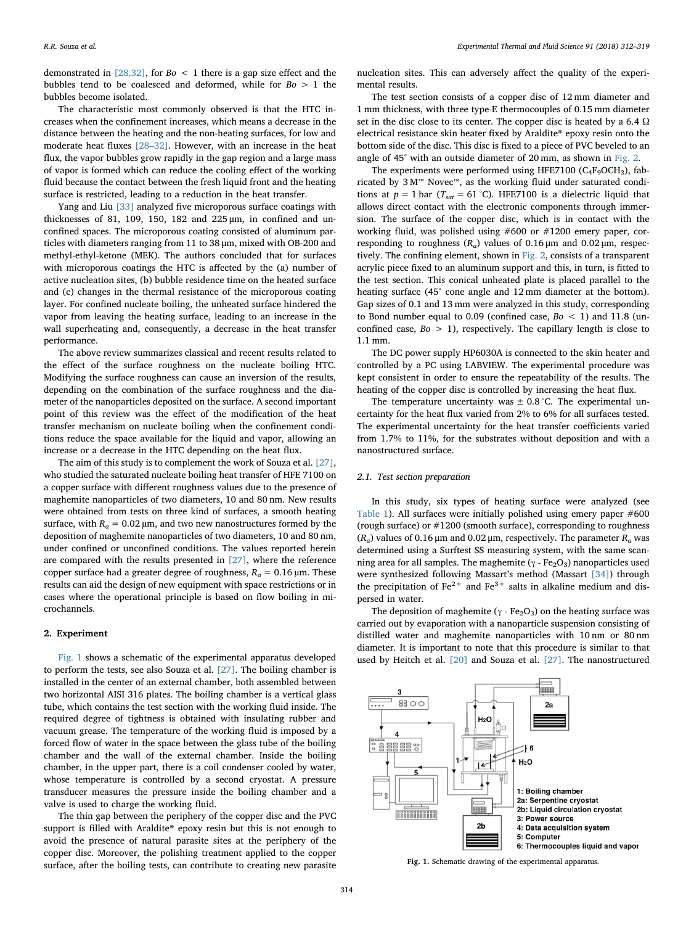demonstrated in [\[28,32\],](#page-7-6) for  $Bo < 1$  there is a gap size effect and the bubbles tend to be coalesced and deformed, while for  $Bo > 1$  the bubbles become isolated.

The characteristic most commonly observed is that the HTC increases when the confinement increases, which means a decrease in the distance between the heating and the non-heating surfaces, for low and moderate heat fluxes [28–[32\].](#page-7-6) However, with an increase in the heat flux, the vapor bubbles grow rapidly in the gap region and a large mass of vapor is formed which can reduce the cooling effect of the working fluid because the contact between the fresh liquid front and the heating surface is restricted, leading to a reduction in the heat transfer.

Yang and Liu [\[33\]](#page-7-11) analyzed five microporous surface coatings with thicknesses of 81, 109, 150, 182 and 225 μm, in confined and unconfined spaces. The microporous coating consisted of aluminum particles with diameters ranging from 11 to 38 μm, mixed with OB-200 and methyl-ethyl-ketone (MEK). The authors concluded that for surfaces with microporous coatings the HTC is affected by the (a) number of active nucleation sites, (b) bubble residence time on the heated surface and (c) changes in the thermal resistance of the microporous coating layer. For confined nucleate boiling, the unheated surface hindered the vapor from leaving the heating surface, leading to an increase in the wall superheating and, consequently, a decrease in the heat transfer performance.

The above review summarizes classical and recent results related to the effect of the surface roughness on the nucleate boiling HTC. Modifying the surface roughness can cause an inversion of the results, depending on the combination of the surface roughness and the diameter of the nanoparticles deposited on the surface. A second important point of this review was the effect of the modification of the heat transfer mechanism on nucleate boiling when the confinement conditions reduce the space available for the liquid and vapor, allowing an increase or a decrease in the HTC depending on the heat flux.

The aim of this study is to complement the work of Souza et al. [\[27\]](#page-7-5), who studied the saturated nucleate boiling heat transfer of HFE 7100 on a copper surface with different roughness values due to the presence of maghemite nanoparticles of two diameters, 10 and 80 nm. New results were obtained from tests on three kind of surfaces, a smooth heating surface, with  $R_a = 0.02 \mu m$ , and two new nanostructures formed by the deposition of maghemite nanoparticles of two diameters, 10 and 80 nm, under confined or unconfined conditions. The values reported herein are compared with the results presented in [\[27\],](#page-7-5) where the reference copper surface had a greater degree of roughness,  $R_a = 0.16$  µm. These results can aid the design of new equipment with space restrictions or in cases where the operational principle is based on flow boiling in microchannels.

#### 2. Experiment

[Fig. 1](#page-2-0) shows a schematic of the experimental apparatus developed to perform the tests, see also Souza et al. [\[27\].](#page-7-5) The boiling chamber is installed in the center of an external chamber, both assembled between two horizontal AISI 316 plates. The boiling chamber is a vertical glass tube, which contains the test section with the working fluid inside. The required degree of tightness is obtained with insulating rubber and vacuum grease. The temperature of the working fluid is imposed by a forced flow of water in the space between the glass tube of the boiling chamber and the wall of the external chamber. Inside the boiling chamber, in the upper part, there is a coil condenser cooled by water, whose temperature is controlled by a second cryostat. A pressure transducer measures the pressure inside the boiling chamber and a valve is used to charge the working fluid.

The thin gap between the periphery of the copper disc and the PVC support is filled with Araldite® epoxy resin but this is not enough to avoid the presence of natural parasite sites at the periphery of the copper disc. Moreover, the polishing treatment applied to the copper surface, after the boiling tests, can contribute to creating new parasite nucleation sites. This can adversely affect the quality of the experimental results.

The test section consists of a copper disc of 12 mm diameter and 1 mm thickness, with three type-E thermocouples of 0.15 mm diameter set in the disc close to its center. The copper disc is heated by a 6.4  $\Omega$ electrical resistance skin heater fixed by Araldite® epoxy resin onto the bottom side of the disc. This disc is fixed to a piece of PVC beveled to an angle of 45° with an outside diameter of 20 mm, as shown in [Fig. 2.](#page-3-0)

The experiments were performed using HFE7100 (C<sub>4</sub>F<sub>9</sub>OCH<sub>3</sub>), fabricated by 3 M™ Novec™, as the working fluid under saturated conditions at  $p = 1$  bar ( $T_{sat} = 61$  °C). HFE7100 is a dielectric liquid that allows direct contact with the electronic components through immersion. The surface of the copper disc, which is in contact with the working fluid, was polished using #600 or #1200 emery paper, corresponding to roughness ( $R<sub>a</sub>$ ) values of 0.16 μm and 0.02 μm, respectively. The confining element, shown in [Fig. 2](#page-3-0), consists of a transparent acrylic piece fixed to an aluminum support and this, in turn, is fitted to the test section. This conical unheated plate is placed parallel to the heating surface (45° cone angle and 12 mm diameter at the bottom). Gap sizes of 0.1 and 13 mm were analyzed in this study, corresponding to Bond number equal to 0.09 (confined case,  $Bo < 1$ ) and 11.8 (unconfined case,  $Bo > 1$ ), respectively. The capillary length is close to 1.1 mm.

The DC power supply HP6030A is connected to the skin heater and controlled by a PC using LABVIEW. The experimental procedure was kept consistent in order to ensure the repeatability of the results. The heating of the copper disc is controlled by increasing the heat flux.

The temperature uncertainty was  $\pm$  0.8 °C. The experimental uncertainty for the heat flux varied from 2% to 6% for all surfaces tested. The experimental uncertainty for the heat transfer coefficients varied from 1.7% to 11%, for the substrates without deposition and with a nanostructured surface.

#### 2.1. Test section preparation

In this study, six types of heating surface were analyzed (see [Table 1\)](#page-4-0). All surfaces were initially polished using emery paper #600 (rough surface) or #1200 (smooth surface), corresponding to roughness  $(R<sub>a</sub>)$  values of 0.16 μm and 0.02 μm, respectively. The parameter  $R<sub>a</sub>$  was determined using a Surftest SS measuring system, with the same scanning area for all samples. The maghemite ( $\gamma$  - Fe<sub>2</sub>O<sub>3</sub>) nanoparticles used were synthesized following Massart's method (Massart [\[34\]](#page-7-12)) through the precipitation of  $Fe^{2+}$  and  $Fe^{3+}$  salts in alkaline medium and dispersed in water.

The deposition of maghemite ( $\gamma$  - Fe<sub>2</sub>O<sub>3</sub>) on the heating surface was carried out by evaporation with a nanoparticle suspension consisting of distilled water and maghemite nanoparticles with 10 nm or 80 nm diameter. It is important to note that this procedure is similar to that used by Heitch et al. [\[20\]](#page-6-19) and Souza et al. [\[27\]](#page-7-5). The nanostructured

<span id="page-2-0"></span>

Fig. 1. Schematic drawing of the experimental apparatus.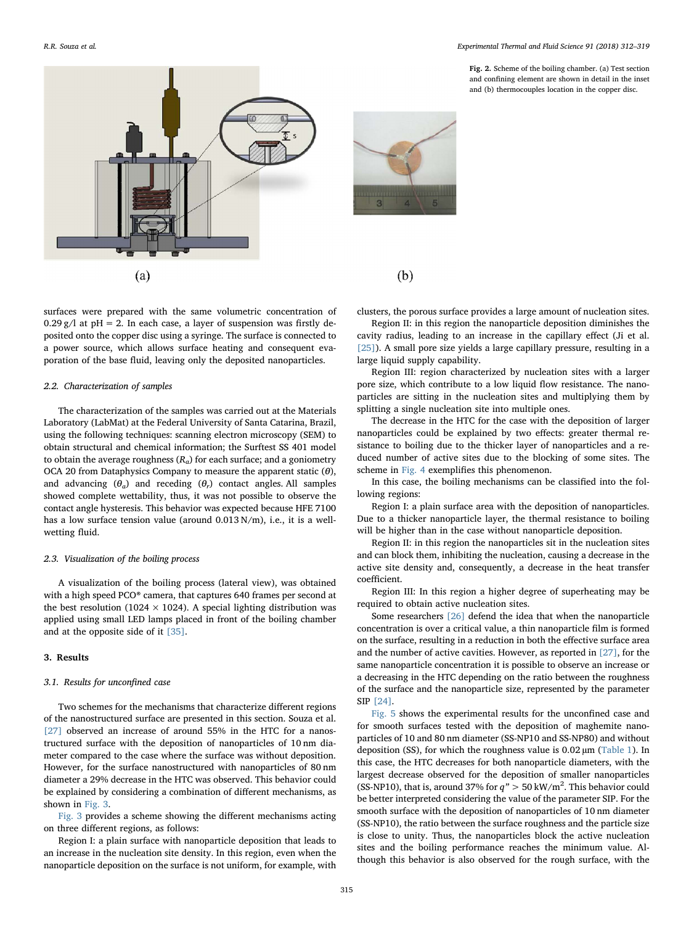<span id="page-3-0"></span>

surfaces were prepared with the same volumetric concentration of  $0.29$  g/l at pH = 2. In each case, a layer of suspension was firstly deposited onto the copper disc using a syringe. The surface is connected to a power source, which allows surface heating and consequent evaporation of the base fluid, leaving only the deposited nanoparticles.

#### 2.2. Characterization of samples

The characterization of the samples was carried out at the Materials Laboratory (LabMat) at the Federal University of Santa Catarina, Brazil, using the following techniques: scanning electron microscopy (SEM) to obtain structural and chemical information; the Surftest SS 401 model to obtain the average roughness  $(R_a)$  for each surface; and a goniometry OCA 20 from Dataphysics Company to measure the apparent static  $(\theta)$ , and advancing  $(\theta_a)$  and receding  $(\theta_r)$  contact angles. All samples showed complete wettability, thus, it was not possible to observe the contact angle hysteresis. This behavior was expected because HFE 7100 has a low surface tension value (around 0.013 N/m), i.e., it is a wellwetting fluid.

#### 2.3. Visualization of the boiling process

A visualization of the boiling process (lateral view), was obtained with a high speed PCO® camera, that captures 640 frames per second at the best resolution (1024  $\times$  1024). A special lighting distribution was applied using small LED lamps placed in front of the boiling chamber and at the opposite side of it [\[35\].](#page-7-13)

#### 3. Results

#### 3.1. Results for unconfined case

Two schemes for the mechanisms that characterize different regions of the nanostructured surface are presented in this section. Souza et al. [\[27\]](#page-7-5) observed an increase of around 55% in the HTC for a nanostructured surface with the deposition of nanoparticles of 10 nm diameter compared to the case where the surface was without deposition. However, for the surface nanostructured with nanoparticles of 80 nm diameter a 29% decrease in the HTC was observed. This behavior could be explained by considering a combination of different mechanisms, as shown in [Fig. 3.](#page-4-1)

[Fig. 3](#page-4-1) provides a scheme showing the different mechanisms acting on three different regions, as follows:

Region I: a plain surface with nanoparticle deposition that leads to an increase in the nucleation site density. In this region, even when the nanoparticle deposition on the surface is not uniform, for example, with Fig. 2. Scheme of the boiling chamber. (a) Test section and confining element are shown in detail in the inset and (b) thermocouples location in the copper disc.



 $(b)$ 

clusters, the porous surface provides a large amount of nucleation sites.

Region II: in this region the nanoparticle deposition diminishes the cavity radius, leading to an increase in the capillary effect (Ji et al. [\[25\]](#page-7-3)). A small pore size yields a large capillary pressure, resulting in a large liquid supply capability.

Region III: region characterized by nucleation sites with a larger pore size, which contribute to a low liquid flow resistance. The nanoparticles are sitting in the nucleation sites and multiplying them by splitting a single nucleation site into multiple ones.

The decrease in the HTC for the case with the deposition of larger nanoparticles could be explained by two effects: greater thermal resistance to boiling due to the thicker layer of nanoparticles and a reduced number of active sites due to the blocking of some sites. The scheme in [Fig. 4](#page-4-2) exemplifies this phenomenon.

In this case, the boiling mechanisms can be classified into the following regions:

Region I: a plain surface area with the deposition of nanoparticles. Due to a thicker nanoparticle layer, the thermal resistance to boiling will be higher than in the case without nanoparticle deposition.

Region II: in this region the nanoparticles sit in the nucleation sites and can block them, inhibiting the nucleation, causing a decrease in the active site density and, consequently, a decrease in the heat transfer coefficient.

Region III: In this region a higher degree of superheating may be required to obtain active nucleation sites.

Some researchers [\[26\]](#page-7-4) defend the idea that when the nanoparticle concentration is over a critical value, a thin nanoparticle film is formed on the surface, resulting in a reduction in both the effective surface area and the number of active cavities. However, as reported in [\[27\],](#page-7-5) for the same nanoparticle concentration it is possible to observe an increase or a decreasing in the HTC depending on the ratio between the roughness of the surface and the nanoparticle size, represented by the parameter SIP [\[24\]](#page-7-2).

[Fig.](#page-4-3) 5 shows the experimental results for the unconfined case and for smooth surfaces tested with the deposition of maghemite nanoparticles of 10 and 80 nm diameter (SS-NP10 and SS-NP80) and without deposition (SS), for which the roughness value is  $0.02 \,\mu\mathrm{m}$  [\(Table 1\)](#page-4-0). In this case, the HTC decreases for both nanoparticle diameters, with the largest decrease observed for the deposition of smaller nanoparticles (SS-NP10), that is, around 37% for  $q'' > 50$  kW/m<sup>2</sup>. This behavior could be better interpreted considering the value of the parameter SIP. For the smooth surface with the deposition of nanoparticles of 10 nm diameter (SS-NP10), the ratio between the surface roughness and the particle size is close to unity. Thus, the nanoparticles block the active nucleation sites and the boiling performance reaches the minimum value. Although this behavior is also observed for the rough surface, with the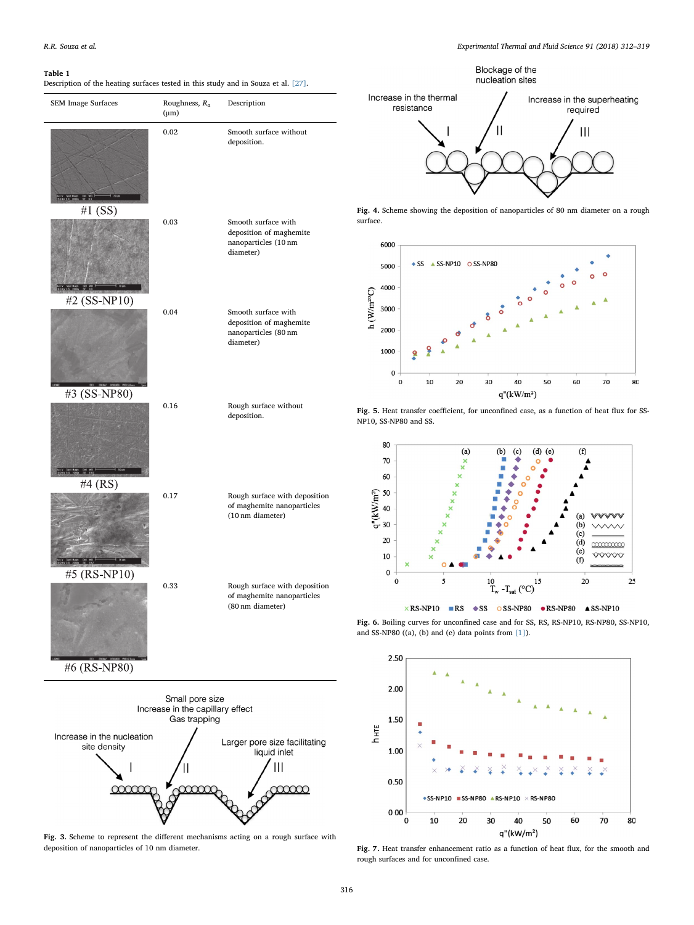#### <span id="page-4-0"></span>Table 1

Description of the heating surfaces tested in this study and in Souza et al. [\[27\]](#page-7-5).



<span id="page-4-1"></span>Fig. 3. Scheme to represent the different mechanisms acting on a rough surface with deposition of nanoparticles of 10 nm diameter.

R.R. Souza et al. *Experimental Thermal and Fluid Science 91 (2018) 312–319*

<span id="page-4-2"></span>

Fig. 4. Scheme showing the deposition of nanoparticles of 80 nm diameter on a rough surface.

<span id="page-4-3"></span>

Fig. 5. Heat transfer coefficient, for unconfined case, as a function of heat flux for SS-NP10, SS-NP80 and SS.

<span id="page-4-4"></span>

 $\times$ RS-NP10 RS  $\bullet$ SS OSS-NP80  $\bullet$ RS-NP80 ASS-NP10

Fig. 6. Boiling curves for unconfined case and for SS, RS, RS-NP10, RS-NP80, SS-NP10, and SS-NP80 ((a), (b) and (e) data points from [\[1\]](#page-6-0)).

<span id="page-4-5"></span>

Fig. 7. Heat transfer enhancement ratio as a function of heat flux, for the smooth and rough surfaces and for unconfined case.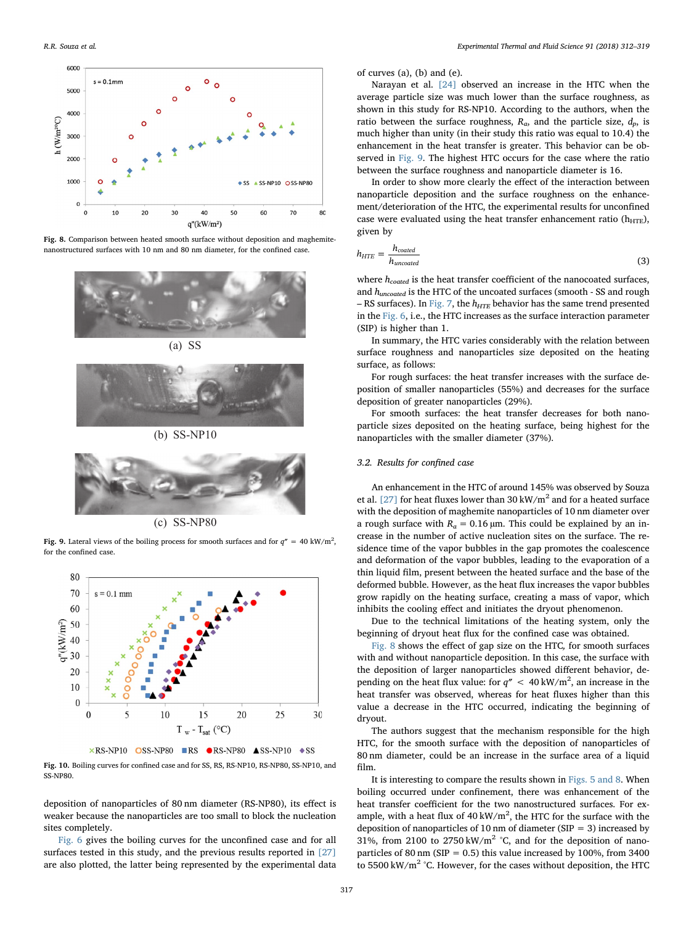<span id="page-5-1"></span>

Fig. 8. Comparison between heated smooth surface without deposition and maghemitenanostructured surfaces with 10 nm and 80 nm diameter, for the confined case.

<span id="page-5-0"></span>



(b) SS-NP10



(c) SS-NP80

Fig. 9. Lateral views of the boiling process for smooth surfaces and for  $q'' = 40 \text{ kW/m}^2$ , for the confined case.

<span id="page-5-2"></span>

×RS-NP10 OSS-NP80 ■RS ORS-NP80 ASS-NP10 +SS

Fig. 10. Boiling curves for confined case and for SS, RS, RS-NP10, RS-NP80, SS-NP10, and SS-NP80.

deposition of nanoparticles of 80 nm diameter (RS-NP80), its effect is weaker because the nanoparticles are too small to block the nucleation sites completely.

[Fig. 6](#page-4-4) gives the boiling curves for the unconfined case and for all surfaces tested in this study, and the previous results reported in [\[27\]](#page-7-5) are also plotted, the latter being represented by the experimental data

of curves (a), (b) and (e).

Narayan et al. [\[24\]](#page-7-2) observed an increase in the HTC when the average particle size was much lower than the surface roughness, as shown in this study for RS-NP10. According to the authors, when the ratio between the surface roughness,  $R_{a}$ , and the particle size,  $d_{p}$ , is much higher than unity (in their study this ratio was equal to 10.4) the enhancement in the heat transfer is greater. This behavior can be observed in [Fig. 9.](#page-5-0) The highest HTC occurs for the case where the ratio between the surface roughness and nanoparticle diameter is 16.

In order to show more clearly the effect of the interaction between nanoparticle deposition and the surface roughness on the enhancement/deterioration of the HTC, the experimental results for unconfined case were evaluated using the heat transfer enhancement ratio  $(h_{HTE})$ , given by

$$
h_{HTE} = \frac{h_{coated}}{h_{uncoated}}
$$
 (3)

where  $h_{coated}$  is the heat transfer coefficient of the nanocoated surfaces, and  $h_{uncoded}$  is the HTC of the uncoated surfaces (smooth - SS and rough – RS surfaces). In [Fig. 7](#page-4-5), the  $h_{HTE}$  behavior has the same trend presented in the [Fig. 6](#page-4-4), i.e., the HTC increases as the surface interaction parameter (SIP) is higher than 1.

In summary, the HTC varies considerably with the relation between surface roughness and nanoparticles size deposited on the heating surface, as follows:

For rough surfaces: the heat transfer increases with the surface deposition of smaller nanoparticles (55%) and decreases for the surface deposition of greater nanoparticles (29%).

For smooth surfaces: the heat transfer decreases for both nanoparticle sizes deposited on the heating surface, being highest for the nanoparticles with the smaller diameter (37%).

### 3.2. Results for confined case

An enhancement in the HTC of around 145% was observed by Souza et al. [\[27\]](#page-7-5) for heat fluxes lower than  $30 \text{ kW/m}^2$  and for a heated surface with the deposition of maghemite nanoparticles of 10 nm diameter over a rough surface with  $R_a = 0.16 \,\mu\text{m}$ . This could be explained by an increase in the number of active nucleation sites on the surface. The residence time of the vapor bubbles in the gap promotes the coalescence and deformation of the vapor bubbles, leading to the evaporation of a thin liquid film, present between the heated surface and the base of the deformed bubble. However, as the heat flux increases the vapor bubbles grow rapidly on the heating surface, creating a mass of vapor, which inhibits the cooling effect and initiates the dryout phenomenon.

Due to the technical limitations of the heating system, only the beginning of dryout heat flux for the confined case was obtained.

[Fig. 8](#page-5-1) shows the effect of gap size on the HTC, for smooth surfaces with and without nanoparticle deposition. In this case, the surface with the deposition of larger nanoparticles showed different behavior, depending on the heat flux value: for  $q'' < 40 \text{ kW/m}^2$ , an increase in the heat transfer was observed, whereas for heat fluxes higher than this value a decrease in the HTC occurred, indicating the beginning of dryout.

The authors suggest that the mechanism responsible for the high HTC, for the smooth surface with the deposition of nanoparticles of 80 nm diameter, could be an increase in the surface area of a liquid film.

It is interesting to compare the results shown in [Figs. 5 and 8.](#page-4-3) When boiling occurred under confinement, there was enhancement of the heat transfer coefficient for the two nanostructured surfaces. For example, with a heat flux of  $40 \text{ kW/m}^2$ , the HTC for the surface with the deposition of nanoparticles of 10 nm of diameter ( $SIP = 3$ ) increased by 31%, from 2100 to 2750 kW/m<sup>2</sup> °C, and for the deposition of nanoparticles of 80 nm (SIP =  $0.5$ ) this value increased by 100%, from 3400 to 5500 kW/m<sup>2</sup> °C. However, for the cases without deposition, the HTC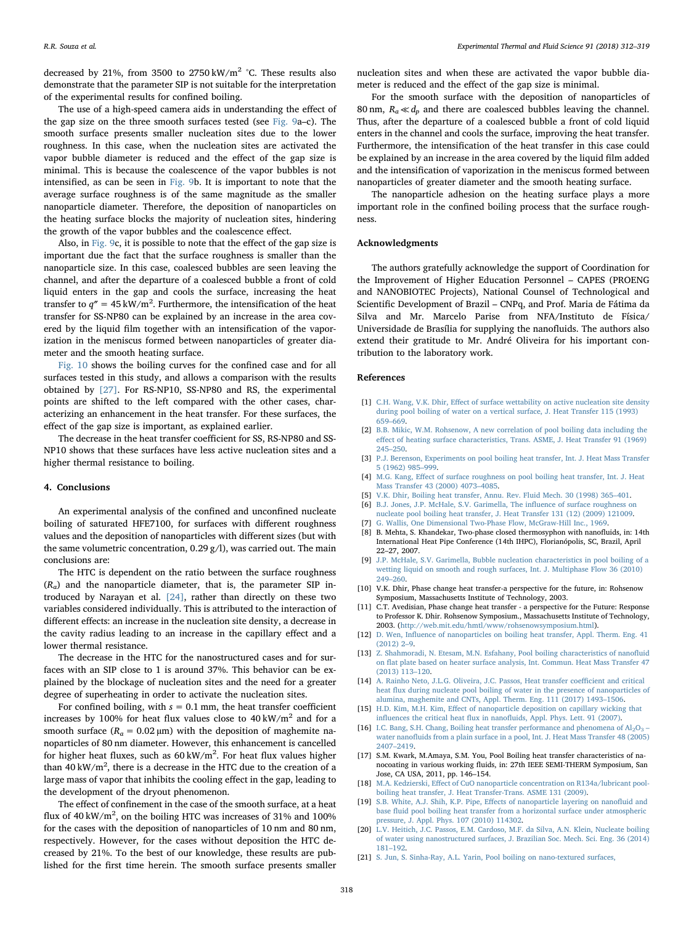decreased by 21%, from 3500 to 2750 kW/m<sup>2</sup> °C. These results also demonstrate that the parameter SIP is not suitable for the interpretation of the experimental results for confined boiling.

The use of a high-speed camera aids in understanding the effect of the gap size on the three smooth surfaces tested (see [Fig. 9](#page-5-0)a–c). The smooth surface presents smaller nucleation sites due to the lower roughness. In this case, when the nucleation sites are activated the vapor bubble diameter is reduced and the effect of the gap size is minimal. This is because the coalescence of the vapor bubbles is not intensified, as can be seen in [Fig. 9b](#page-5-0). It is important to note that the average surface roughness is of the same magnitude as the smaller nanoparticle diameter. Therefore, the deposition of nanoparticles on the heating surface blocks the majority of nucleation sites, hindering the growth of the vapor bubbles and the coalescence effect.

Also, in [Fig. 9c](#page-5-0), it is possible to note that the effect of the gap size is important due the fact that the surface roughness is smaller than the nanoparticle size. In this case, coalesced bubbles are seen leaving the channel, and after the departure of a coalesced bubble a front of cold liquid enters in the gap and cools the surface, increasing the heat transfer to  $q'' = 45 \text{ kW/m}^2$ . Furthermore, the intensification of the heat transfer for SS-NP80 can be explained by an increase in the area covered by the liquid film together with an intensification of the vaporization in the meniscus formed between nanoparticles of greater diameter and the smooth heating surface.

[Fig. 10](#page-5-2) shows the boiling curves for the confined case and for all surfaces tested in this study, and allows a comparison with the results obtained by [\[27\].](#page-7-5) For RS-NP10, SS-NP80 and RS, the experimental points are shifted to the left compared with the other cases, characterizing an enhancement in the heat transfer. For these surfaces, the effect of the gap size is important, as explained earlier.

The decrease in the heat transfer coefficient for SS, RS-NP80 and SS-NP10 shows that these surfaces have less active nucleation sites and a higher thermal resistance to boiling.

#### 4. Conclusions

An experimental analysis of the confined and unconfined nucleate boiling of saturated HFE7100, for surfaces with different roughness values and the deposition of nanoparticles with different sizes (but with the same volumetric concentration,  $0.29$  g/l), was carried out. The main conclusions are:

The HTC is dependent on the ratio between the surface roughness  $(R_a)$  and the nanoparticle diameter, that is, the parameter SIP introduced by Narayan et al. [\[24\]](#page-7-2), rather than directly on these two variables considered individually. This is attributed to the interaction of different effects: an increase in the nucleation site density, a decrease in the cavity radius leading to an increase in the capillary effect and a lower thermal resistance.

The decrease in the HTC for the nanostructured cases and for surfaces with an SIP close to 1 is around 37%. This behavior can be explained by the blockage of nucleation sites and the need for a greater degree of superheating in order to activate the nucleation sites.

For confined boiling, with  $s = 0.1$  mm, the heat transfer coefficient increases by 100% for heat flux values close to  $40 \text{ kW/m}^2$  and for a smooth surface ( $R_a = 0.02 \,\mu m$ ) with the deposition of maghemite nanoparticles of 80 nm diameter. However, this enhancement is cancelled for higher heat fluxes, such as  $60 \,\mathrm{kW/m^2}$ . For heat flux values higher than 40 kW/m<sup>2</sup>, there is a decrease in the HTC due to the creation of a large mass of vapor that inhibits the cooling effect in the gap, leading to the development of the dryout phenomenon.

The effect of confinement in the case of the smooth surface, at a heat flux of 40 kW/m<sup>2</sup>, on the boiling HTC was increases of 31% and 100% for the cases with the deposition of nanoparticles of 10 nm and 80 nm, respectively. However, for the cases without deposition the HTC decreased by 21%. To the best of our knowledge, these results are published for the first time herein. The smooth surface presents smaller

nucleation sites and when these are activated the vapor bubble diameter is reduced and the effect of the gap size is minimal.

For the smooth surface with the deposition of nanoparticles of 80 nm,  $R_a \ll d_p$  and there are coalesced bubbles leaving the channel. Thus, after the departure of a coalesced bubble a front of cold liquid enters in the channel and cools the surface, improving the heat transfer. Furthermore, the intensification of the heat transfer in this case could be explained by an increase in the area covered by the liquid film added and the intensification of vaporization in the meniscus formed between nanoparticles of greater diameter and the smooth heating surface.

The nanoparticle adhesion on the heating surface plays a more important role in the confined boiling process that the surface roughness.

#### Acknowledgments

The authors gratefully acknowledge the support of Coordination for the Improvement of Higher Education Personnel – CAPES (PROENG and NANOBIOTEC Projects), National Counsel of Technological and Scientific Development of Brazil – CNPq, and Prof. Maria de Fátima da Silva and Mr. Marcelo Parise from NFA/Instituto de Física/ Universidade de Brasília for supplying the nanofluids. The authors also extend their gratitude to Mr. André Oliveira for his important contribution to the laboratory work.

#### References

- <span id="page-6-0"></span>[1] C.H. Wang, V.K. Dhir, Eff[ect of surface wettability on active nucleation site density](http://refhub.elsevier.com/S0894-1777(17)30335-7/h0005) [during pool boiling of water on a vertical surface, J. Heat Transfer 115 \(1993\)](http://refhub.elsevier.com/S0894-1777(17)30335-7/h0005) 659–[669.](http://refhub.elsevier.com/S0894-1777(17)30335-7/h0005)
- <span id="page-6-1"></span>[2] [B.B. Mikic, W.M. Rohsenow, A new correlation of pool boiling data including the](http://refhub.elsevier.com/S0894-1777(17)30335-7/h0010) eff[ect of heating surface characteristics, Trans. ASME, J. Heat Transfer 91 \(1969\)](http://refhub.elsevier.com/S0894-1777(17)30335-7/h0010) 245–[250.](http://refhub.elsevier.com/S0894-1777(17)30335-7/h0010)
- <span id="page-6-2"></span>[3] [P.J. Berenson, Experiments on pool boiling heat transfer, Int. J. Heat Mass Transfer](http://refhub.elsevier.com/S0894-1777(17)30335-7/h0015) [5 \(1962\) 985](http://refhub.elsevier.com/S0894-1777(17)30335-7/h0015)–999.
- <span id="page-6-3"></span>[4] M.G. Kang, Eff[ect of surface roughness on pool boiling heat transfer, Int. J. Heat](http://refhub.elsevier.com/S0894-1777(17)30335-7/h0020) [Mass Transfer 43 \(2000\) 4073](http://refhub.elsevier.com/S0894-1777(17)30335-7/h0020)–4085.
- <span id="page-6-4"></span>[5] [V.K. Dhir, Boiling heat transfer, Annu. Rev. Fluid Mech. 30 \(1998\) 365](http://refhub.elsevier.com/S0894-1777(17)30335-7/h0025)–401.
- <span id="page-6-5"></span>[6] [B.J. Jones, J.P. McHale, S.V. Garimella, The in](http://refhub.elsevier.com/S0894-1777(17)30335-7/h0030)fluence of surface roughness on [nucleate pool boiling heat transfer, J. Heat Transfer 131 \(12\) \(2009\) 121009.](http://refhub.elsevier.com/S0894-1777(17)30335-7/h0030)
- <span id="page-6-6"></span>[7] [G. Wallis, One Dimensional Two-Phase Flow, McGraw-Hill Inc., 1969.](http://refhub.elsevier.com/S0894-1777(17)30335-7/h0035)
- <span id="page-6-7"></span>[8] B. Mehta, S. Khandekar, Two-phase closed thermosyphon with nanofluids, in: 14th International Heat Pipe Conference (14th IHPC), Florianópolis, SC, Brazil, April 22–27, 2007.
- <span id="page-6-8"></span>[9] [J.P. McHale, S.V. Garimella, Bubble nucleation characteristics in pool boiling of a](http://refhub.elsevier.com/S0894-1777(17)30335-7/h0045) [wetting liquid on smooth and rough surfaces, Int. J. Multiphase Flow 36 \(2010\)](http://refhub.elsevier.com/S0894-1777(17)30335-7/h0045) 249–[260.](http://refhub.elsevier.com/S0894-1777(17)30335-7/h0045)
- <span id="page-6-9"></span>[10] V.K. Dhir, Phase change heat transfer-a perspective for the future, in: Rohsenow Symposium, Massachusetts Institute of Technology, 2003.
- <span id="page-6-10"></span>[11] C.T. Avedisian, Phase change heat transfer - a perspective for the Future: Response to Professor K. Dhir. Rohsenow Symposium., Massachusetts Institute of Technology, 2003. (<http://web.mit.edu/hmtl/www/rohsenowsymposium.html>).
- <span id="page-6-11"></span>[12] D. Wen, Infl[uence of nanoparticles on boiling heat transfer, Appl. Therm. Eng. 41](http://refhub.elsevier.com/S0894-1777(17)30335-7/h0060) [\(2012\) 2](http://refhub.elsevier.com/S0894-1777(17)30335-7/h0060)–9.
- <span id="page-6-12"></span>[13] [Z. Shahmoradi, N. Etesam, M.N. Esfahany, Pool boiling characteristics of nano](http://refhub.elsevier.com/S0894-1777(17)30335-7/h0065)fluid on fl[at plate based on heater surface analysis, Int. Commun. Heat Mass Transfer 47](http://refhub.elsevier.com/S0894-1777(17)30335-7/h0065) [\(2013\) 113](http://refhub.elsevier.com/S0894-1777(17)30335-7/h0065)–120.
- <span id="page-6-13"></span>[14] [A. Rainho Neto, J.L.G. Oliveira, J.C. Passos, Heat transfer coe](http://refhub.elsevier.com/S0894-1777(17)30335-7/h0070)fficient and critical heat fl[ux during nucleate pool boiling of water in the presence of nanoparticles of](http://refhub.elsevier.com/S0894-1777(17)30335-7/h0070) [alumina, maghemite and CNTs, Appl. Therm. Eng. 111 \(2017\) 1493](http://refhub.elsevier.com/S0894-1777(17)30335-7/h0070)–1506.
- <span id="page-6-14"></span>[15] H.D. Kim, M.H. Kim, Eff[ect of nanoparticle deposition on capillary wicking that](http://refhub.elsevier.com/S0894-1777(17)30335-7/h0075) influences the critical heat flux in nanofl[uids, Appl. Phys. Lett. 91 \(2007\).](http://refhub.elsevier.com/S0894-1777(17)30335-7/h0075)
- <span id="page-6-15"></span>[16] I.C. Bang, S.H. Chang, Boiling heat transfer performance and phenomena of  $Al_2O_3$  – water nanofl[uids from a plain surface in a pool, Int. J. Heat Mass Transfer 48 \(2005\)](http://refhub.elsevier.com/S0894-1777(17)30335-7/h0080) 2407–[2419.](http://refhub.elsevier.com/S0894-1777(17)30335-7/h0080)
- <span id="page-6-16"></span>[17] S.M. Kwark, M.Amaya, S.M. You, Pool Boiling heat transfer characteristics of nanocoating in various working fluids, in: 27th IEEE SEMI-THERM Symposium, San Jose, CA USA, 2011, pp. 146–154.
- <span id="page-6-17"></span>[18] M.A. Kedzierski, Eff[ect of CuO nanoparticle concentration on R134a/lubricant pool](http://refhub.elsevier.com/S0894-1777(17)30335-7/h0090)[boiling heat transfer, J. Heat Transfer-Trans. ASME 131 \(2009\).](http://refhub.elsevier.com/S0894-1777(17)30335-7/h0090)
- <span id="page-6-18"></span>[19] S.B. White, A.J. Shih, K.P. Pipe, Eff[ects of nanoparticle layering on nano](http://refhub.elsevier.com/S0894-1777(17)30335-7/h0095)fluid and base fl[uid pool boiling heat transfer from a horizontal surface under atmospheric](http://refhub.elsevier.com/S0894-1777(17)30335-7/h0095) [pressure, J. Appl. Phys. 107 \(2010\) 114302.](http://refhub.elsevier.com/S0894-1777(17)30335-7/h0095)
- <span id="page-6-19"></span>[20] [L.V. Heitich, J.C. Passos, E.M. Cardoso, M.F. da Silva, A.N. Klein, Nucleate boiling](http://refhub.elsevier.com/S0894-1777(17)30335-7/h0100) [of water using nanostructured surfaces, J. Brazilian Soc. Mech. Sci. Eng. 36 \(2014\)](http://refhub.elsevier.com/S0894-1777(17)30335-7/h0100) 181–[192.](http://refhub.elsevier.com/S0894-1777(17)30335-7/h0100)
- <span id="page-6-20"></span>[21] [S. Jun, S. Sinha-Ray, A.L. Yarin, Pool boiling on nano-textured surfaces,](http://refhub.elsevier.com/S0894-1777(17)30335-7/h0105)